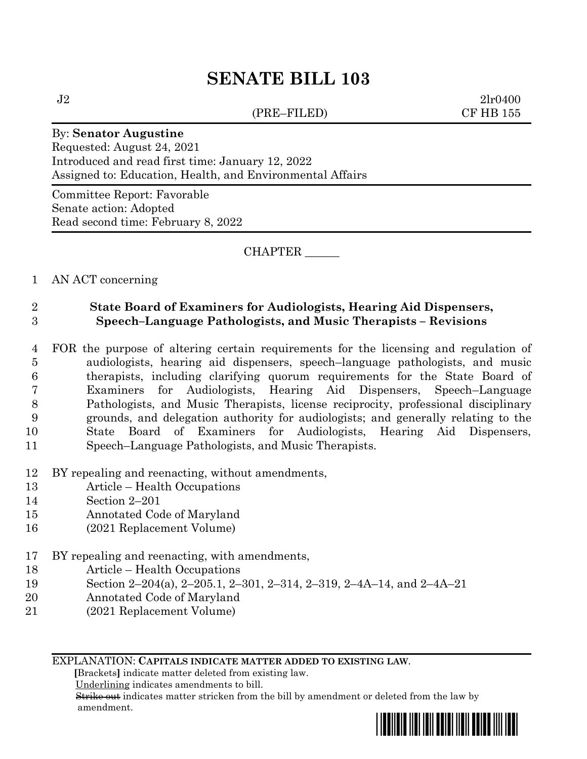(PRE–FILED) CF HB 155

 $J2 \t2l r0400$ 

#### By: **Senator Augustine**

Requested: August 24, 2021 Introduced and read first time: January 12, 2022 Assigned to: Education, Health, and Environmental Affairs

Committee Report: Favorable Senate action: Adopted Read second time: February 8, 2022

#### CHAPTER \_\_\_\_\_\_

#### 1 AN ACT concerning

#### 2 **State Board of Examiners for Audiologists, Hearing Aid Dispensers,** 3 **Speech–Language Pathologists, and Music Therapists – Revisions**

- 4 FOR the purpose of altering certain requirements for the licensing and regulation of 5 audiologists, hearing aid dispensers, speech–language pathologists, and music 6 therapists, including clarifying quorum requirements for the State Board of 7 Examiners for Audiologists, Hearing Aid Dispensers, Speech–Language 8 Pathologists, and Music Therapists, license reciprocity, professional disciplinary 9 grounds, and delegation authority for audiologists; and generally relating to the 10 State Board of Examiners for Audiologists, Hearing Aid Dispensers, 11 Speech–Language Pathologists, and Music Therapists.
- 12 BY repealing and reenacting, without amendments,
- 13 Article Health Occupations
- 14 Section 2–201
- 15 Annotated Code of Maryland
- 16 (2021 Replacement Volume)
- 17 BY repealing and reenacting, with amendments,
- 18 Article Health Occupations
- 19 Section 2–204(a), 2–205.1, 2–301, 2–314, 2–319, 2–4A–14, and 2–4A–21
- 20 Annotated Code of Maryland
- 21 (2021 Replacement Volume)

#### EXPLANATION: **CAPITALS INDICATE MATTER ADDED TO EXISTING LAW**.

 **[**Brackets**]** indicate matter deleted from existing law.

Underlining indicates amendments to bill.

 Strike out indicates matter stricken from the bill by amendment or deleted from the law by amendment.

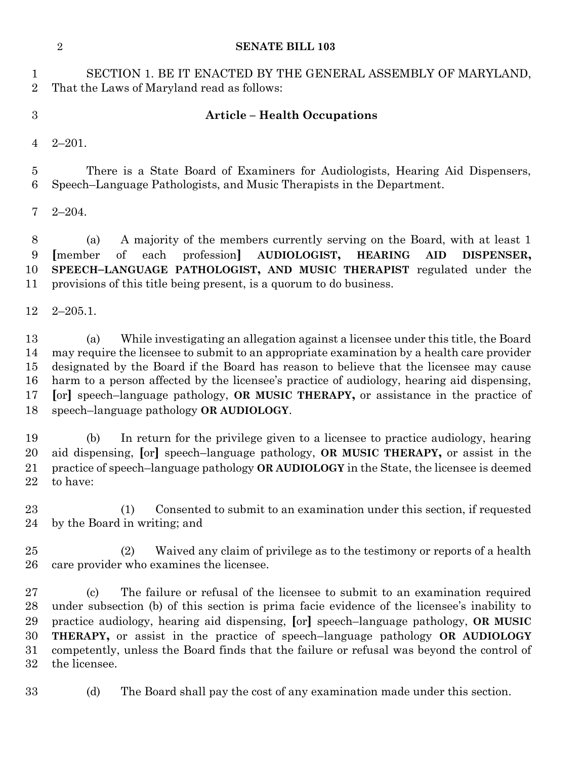SECTION 1. BE IT ENACTED BY THE GENERAL ASSEMBLY OF MARYLAND, That the Laws of Maryland read as follows:

#### **Article – Health Occupations**

2–201.

 There is a State Board of Examiners for Audiologists, Hearing Aid Dispensers, Speech–Language Pathologists, and Music Therapists in the Department.

2–204.

 (a) A majority of the members currently serving on the Board, with at least 1 **[**member of each profession**] AUDIOLOGIST, HEARING AID DISPENSER, SPEECH–LANGUAGE PATHOLOGIST, AND MUSIC THERAPIST** regulated under the provisions of this title being present, is a quorum to do business.

2–205.1.

 (a) While investigating an allegation against a licensee under this title, the Board may require the licensee to submit to an appropriate examination by a health care provider designated by the Board if the Board has reason to believe that the licensee may cause harm to a person affected by the licensee's practice of audiology, hearing aid dispensing, **[**or**]** speech–language pathology, **OR MUSIC THERAPY,** or assistance in the practice of speech–language pathology **OR AUDIOLOGY**.

 (b) In return for the privilege given to a licensee to practice audiology, hearing aid dispensing, **[**or**]** speech–language pathology, **OR MUSIC THERAPY,** or assist in the practice of speech–language pathology **OR AUDIOLOGY** in the State, the licensee is deemed to have:

 (1) Consented to submit to an examination under this section, if requested by the Board in writing; and

 (2) Waived any claim of privilege as to the testimony or reports of a health care provider who examines the licensee.

 (c) The failure or refusal of the licensee to submit to an examination required under subsection (b) of this section is prima facie evidence of the licensee's inability to practice audiology, hearing aid dispensing, **[**or**]** speech–language pathology, **OR MUSIC THERAPY,** or assist in the practice of speech–language pathology **OR AUDIOLOGY**  competently, unless the Board finds that the failure or refusal was beyond the control of the licensee.

(d) The Board shall pay the cost of any examination made under this section.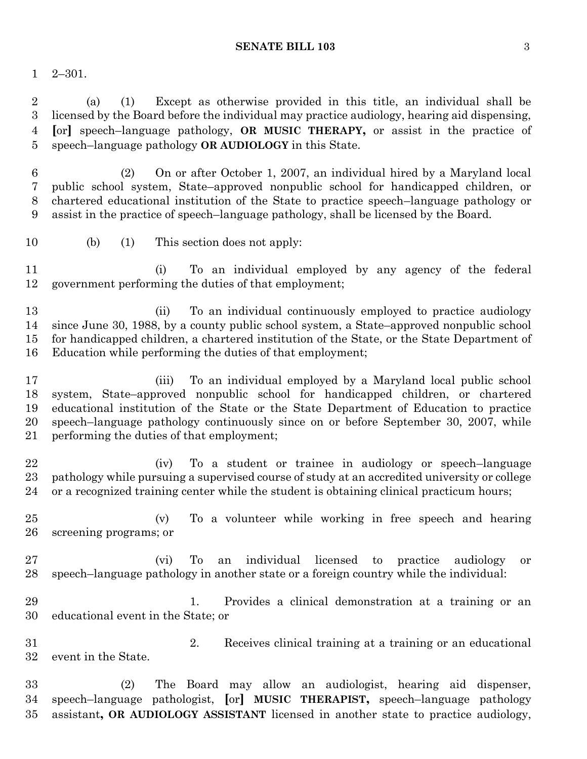#### **SENATE BILL 103** 3

2–301.

 (a) (1) Except as otherwise provided in this title, an individual shall be licensed by the Board before the individual may practice audiology, hearing aid dispensing, **[**or**]** speech–language pathology, **OR MUSIC THERAPY,** or assist in the practice of speech–language pathology **OR AUDIOLOGY** in this State.

 (2) On or after October 1, 2007, an individual hired by a Maryland local public school system, State–approved nonpublic school for handicapped children, or chartered educational institution of the State to practice speech–language pathology or assist in the practice of speech–language pathology, shall be licensed by the Board.

(b) (1) This section does not apply:

 (i) To an individual employed by any agency of the federal government performing the duties of that employment;

 (ii) To an individual continuously employed to practice audiology since June 30, 1988, by a county public school system, a State–approved nonpublic school for handicapped children, a chartered institution of the State, or the State Department of Education while performing the duties of that employment;

 (iii) To an individual employed by a Maryland local public school system, State–approved nonpublic school for handicapped children, or chartered educational institution of the State or the State Department of Education to practice speech–language pathology continuously since on or before September 30, 2007, while performing the duties of that employment;

 (iv) To a student or trainee in audiology or speech–language pathology while pursuing a supervised course of study at an accredited university or college or a recognized training center while the student is obtaining clinical practicum hours;

 (v) To a volunteer while working in free speech and hearing screening programs; or

 (vi) To an individual licensed to practice audiology or speech–language pathology in another state or a foreign country while the individual:

 1. Provides a clinical demonstration at a training or an educational event in the State; or

 2. Receives clinical training at a training or an educational event in the State.

 (2) The Board may allow an audiologist, hearing aid dispenser, speech–language pathologist, **[**or**] MUSIC THERAPIST,** speech–language pathology assistant**, OR AUDIOLOGY ASSISTANT** licensed in another state to practice audiology,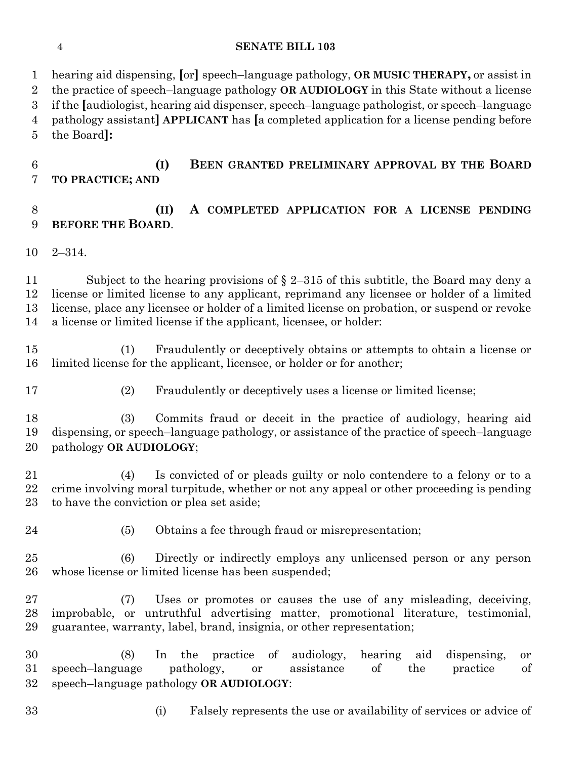hearing aid dispensing, **[**or**]** speech–language pathology, **OR MUSIC THERAPY,** or assist in the practice of speech–language pathology **OR AUDIOLOGY** in this State without a license if the **[**audiologist, hearing aid dispenser, speech–language pathologist, or speech–language pathology assistant**] APPLICANT** has **[**a completed application for a license pending before the Board**]: (I) BEEN GRANTED PRELIMINARY APPROVAL BY THE BOARD**

# **TO PRACTICE; AND**

### **(II) A COMPLETED APPLICATION FOR A LICENSE PENDING BEFORE THE BOARD**.

2–314.

 Subject to the hearing provisions of § 2–315 of this subtitle, the Board may deny a license or limited license to any applicant, reprimand any licensee or holder of a limited license, place any licensee or holder of a limited license on probation, or suspend or revoke a license or limited license if the applicant, licensee, or holder:

 (1) Fraudulently or deceptively obtains or attempts to obtain a license or limited license for the applicant, licensee, or holder or for another;

- 
- (2) Fraudulently or deceptively uses a license or limited license;

 (3) Commits fraud or deceit in the practice of audiology, hearing aid dispensing, or speech–language pathology, or assistance of the practice of speech–language pathology **OR AUDIOLOGY**;

 (4) Is convicted of or pleads guilty or nolo contendere to a felony or to a crime involving moral turpitude, whether or not any appeal or other proceeding is pending to have the conviction or plea set aside;

- 
- 24 (5) Obtains a fee through fraud or misrepresentation;

 (6) Directly or indirectly employs any unlicensed person or any person whose license or limited license has been suspended;

 (7) Uses or promotes or causes the use of any misleading, deceiving, improbable, or untruthful advertising matter, promotional literature, testimonial, guarantee, warranty, label, brand, insignia, or other representation;

 (8) In the practice of audiology, hearing aid dispensing, or speech–language pathology, or assistance of the practice of speech–language pathology **OR AUDIOLOGY**:

(i) Falsely represents the use or availability of services or advice of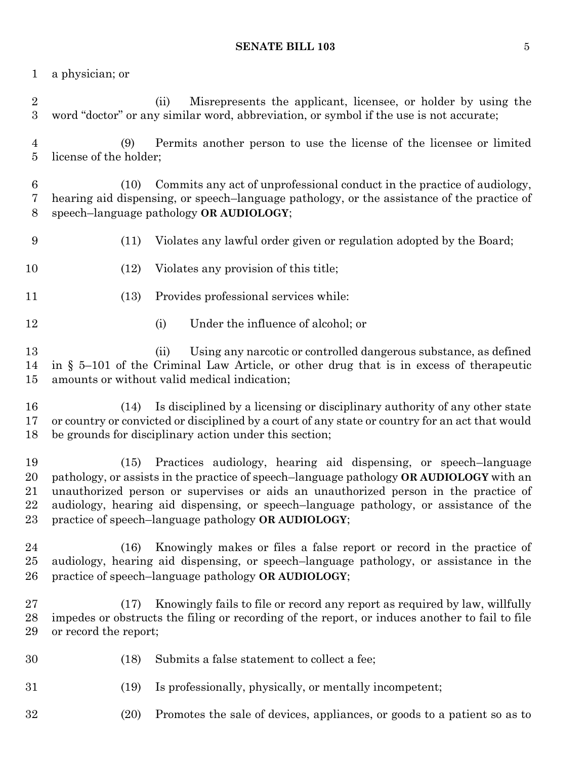a physician; or

 (ii) Misrepresents the applicant, licensee, or holder by using the word "doctor" or any similar word, abbreviation, or symbol if the use is not accurate;

 (9) Permits another person to use the license of the licensee or limited license of the holder;

 (10) Commits any act of unprofessional conduct in the practice of audiology, hearing aid dispensing, or speech–language pathology, or the assistance of the practice of speech–language pathology **OR AUDIOLOGY**;

- (11) Violates any lawful order given or regulation adopted by the Board;
- (12) Violates any provision of this title;
- (13) Provides professional services while:
- 12 (i) Under the influence of alcohol; or

 (ii) Using any narcotic or controlled dangerous substance, as defined in § 5–101 of the Criminal Law Article, or other drug that is in excess of therapeutic amounts or without valid medical indication;

 (14) Is disciplined by a licensing or disciplinary authority of any other state or country or convicted or disciplined by a court of any state or country for an act that would be grounds for disciplinary action under this section;

 (15) Practices audiology, hearing aid dispensing, or speech–language pathology, or assists in the practice of speech–language pathology **OR AUDIOLOGY** with an unauthorized person or supervises or aids an unauthorized person in the practice of audiology, hearing aid dispensing, or speech–language pathology, or assistance of the practice of speech–language pathology **OR AUDIOLOGY**;

 (16) Knowingly makes or files a false report or record in the practice of audiology, hearing aid dispensing, or speech–language pathology, or assistance in the practice of speech–language pathology **OR AUDIOLOGY**;

 (17) Knowingly fails to file or record any report as required by law, willfully impedes or obstructs the filing or recording of the report, or induces another to fail to file or record the report;

- (18) Submits a false statement to collect a fee;
- (19) Is professionally, physically, or mentally incompetent;
- (20) Promotes the sale of devices, appliances, or goods to a patient so as to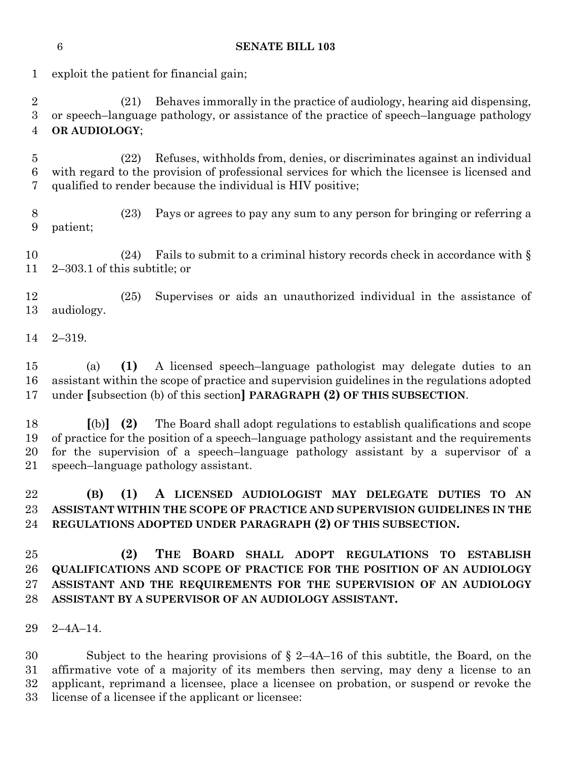2–319. (a) **(1)** A licensed speech–language pathologist may delegate duties to an assistant within the scope of practice and supervision guidelines in the regulations adopted under **[**subsection (b) of this section**] PARAGRAPH (2) OF THIS SUBSECTION**.

 **[**(b)**] (2)** The Board shall adopt regulations to establish qualifications and scope of practice for the position of a speech–language pathology assistant and the requirements for the supervision of a speech–language pathology assistant by a supervisor of a speech–language pathology assistant.

 **(B) (1) A LICENSED AUDIOLOGIST MAY DELEGATE DUTIES TO AN ASSISTANT WITHIN THE SCOPE OF PRACTICE AND SUPERVISION GUIDELINES IN THE REGULATIONS ADOPTED UNDER PARAGRAPH (2) OF THIS SUBSECTION.**

 **(2) THE BOARD SHALL ADOPT REGULATIONS TO ESTABLISH QUALIFICATIONS AND SCOPE OF PRACTICE FOR THE POSITION OF AN AUDIOLOGY ASSISTANT AND THE REQUIREMENTS FOR THE SUPERVISION OF AN AUDIOLOGY ASSISTANT BY A SUPERVISOR OF AN AUDIOLOGY ASSISTANT.**

2–4A–14.

 Subject to the hearing provisions of § 2–4A–16 of this subtitle, the Board, on the affirmative vote of a majority of its members then serving, may deny a license to an applicant, reprimand a licensee, place a licensee on probation, or suspend or revoke the license of a licensee if the applicant or licensee:

exploit the patient for financial gain;

**SENATE BILL 103**

 (21) Behaves immorally in the practice of audiology, hearing aid dispensing, or speech–language pathology, or assistance of the practice of speech–language pathology **OR AUDIOLOGY**;

 (22) Refuses, withholds from, denies, or discriminates against an individual with regard to the provision of professional services for which the licensee is licensed and qualified to render because the individual is HIV positive;

 (23) Pays or agrees to pay any sum to any person for bringing or referring a patient;

 (24) Fails to submit to a criminal history records check in accordance with § 2–303.1 of this subtitle; or

 (25) Supervises or aids an unauthorized individual in the assistance of audiology.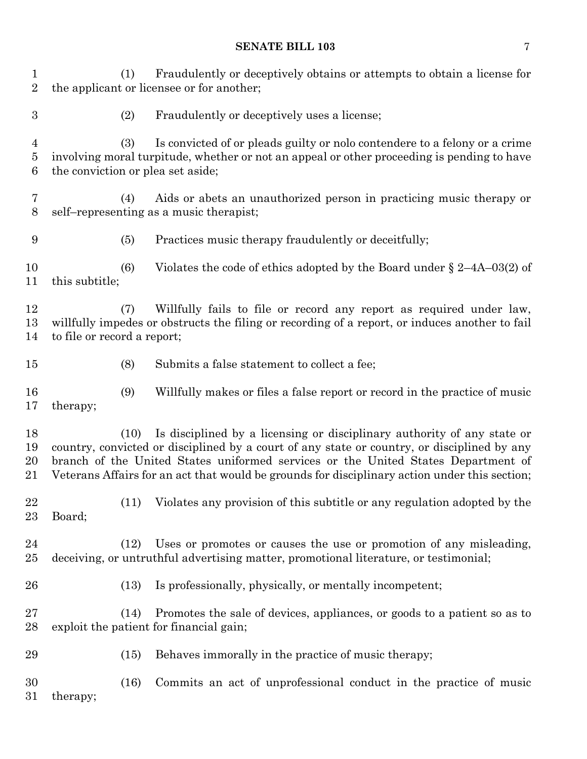(1) Fraudulently or deceptively obtains or attempts to obtain a license for the applicant or licensee or for another; (2) Fraudulently or deceptively uses a license; (3) Is convicted of or pleads guilty or nolo contendere to a felony or a crime involving moral turpitude, whether or not an appeal or other proceeding is pending to have the conviction or plea set aside; (4) Aids or abets an unauthorized person in practicing music therapy or self–representing as a music therapist; (5) Practices music therapy fraudulently or deceitfully; (6) Violates the code of ethics adopted by the Board under § 2–4A–03(2) of this subtitle; (7) Willfully fails to file or record any report as required under law, willfully impedes or obstructs the filing or recording of a report, or induces another to fail to file or record a report; (8) Submits a false statement to collect a fee; (9) Willfully makes or files a false report or record in the practice of music therapy; (10) Is disciplined by a licensing or disciplinary authority of any state or country, convicted or disciplined by a court of any state or country, or disciplined by any branch of the United States uniformed services or the United States Department of Veterans Affairs for an act that would be grounds for disciplinary action under this section; (11) Violates any provision of this subtitle or any regulation adopted by the Board; (12) Uses or promotes or causes the use or promotion of any misleading, deceiving, or untruthful advertising matter, promotional literature, or testimonial; (13) Is professionally, physically, or mentally incompetent; (14) Promotes the sale of devices, appliances, or goods to a patient so as to exploit the patient for financial gain; (15) Behaves immorally in the practice of music therapy; (16) Commits an act of unprofessional conduct in the practice of music therapy;

**SENATE BILL 103** 7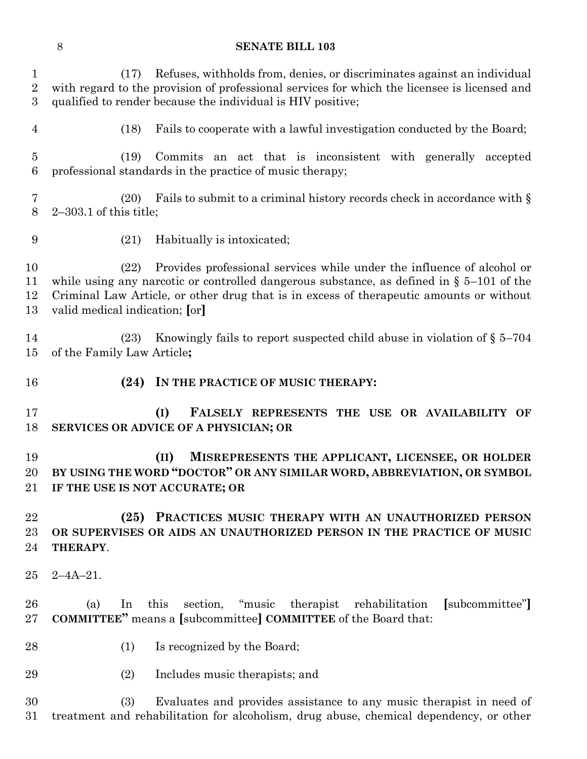| $\mathbf{1}$<br>$\overline{2}$<br>3 | Refuses, withholds from, denies, or discriminates against an individual<br>(17)<br>with regard to the provision of professional services for which the licensee is licensed and<br>qualified to render because the individual is HIV positive;                                                             |
|-------------------------------------|------------------------------------------------------------------------------------------------------------------------------------------------------------------------------------------------------------------------------------------------------------------------------------------------------------|
| $\overline{4}$                      | Fails to cooperate with a lawful investigation conducted by the Board;<br>(18)                                                                                                                                                                                                                             |
| $\overline{5}$<br>$\,6$             | Commits an act that is inconsistent with generally accepted<br>(19)<br>professional standards in the practice of music therapy;                                                                                                                                                                            |
| 7<br>8                              | Fails to submit to a criminal history records check in accordance with $\S$<br>(20)<br>$2-303.1$ of this title;                                                                                                                                                                                            |
| 9                                   | Habitually is intoxicated;<br>(21)                                                                                                                                                                                                                                                                         |
| 10<br>11<br>12<br>13                | Provides professional services while under the influence of alcohol or<br>(22)<br>while using any narcotic or controlled dangerous substance, as defined in $\S$ 5–101 of the<br>Criminal Law Article, or other drug that is in excess of therapeutic amounts or without<br>valid medical indication; [or] |
| 14<br>15                            | Knowingly fails to report suspected child abuse in violation of $\S 5-704$<br>(23)<br>of the Family Law Article;                                                                                                                                                                                           |
|                                     |                                                                                                                                                                                                                                                                                                            |
| 16                                  | IN THE PRACTICE OF MUSIC THERAPY:<br>(24)                                                                                                                                                                                                                                                                  |
| 17<br>18                            | (I)<br>FALSELY REPRESENTS THE USE OR AVAILABILITY OF<br>SERVICES OR ADVICE OF A PHYSICIAN; OR                                                                                                                                                                                                              |
| 19<br>20<br>21                      | MISREPRESENTS THE APPLICANT, LICENSEE, OR HOLDER<br>(II)<br>BY USING THE WORD "DOCTOR" OR ANY SIMILAR WORD, ABBREVIATION, OR SYMBOL<br>IF THE USE IS NOT ACCURATE; OR                                                                                                                                      |
| 22<br>23<br>24                      | PRACTICES MUSIC THERAPY WITH AN UNAUTHORIZED PERSON<br>(25)<br>OR SUPERVISES OR AIDS AN UNAUTHORIZED PERSON IN THE PRACTICE OF MUSIC<br>THERAPY.                                                                                                                                                           |
| 25                                  | $2 - 4A - 21$ .                                                                                                                                                                                                                                                                                            |
| 26<br>$27\,$                        | "music<br>this<br>section,<br>therapist<br>rehabilitation<br>[subcommittee"]<br>(a)<br>In<br><b>COMMITTEE"</b> means a [subcommittee] <b>COMMITTEE</b> of the Board that:                                                                                                                                  |
| 28                                  | Is recognized by the Board;<br>(1)                                                                                                                                                                                                                                                                         |
| 29                                  | (2)<br>Includes music therapists; and                                                                                                                                                                                                                                                                      |